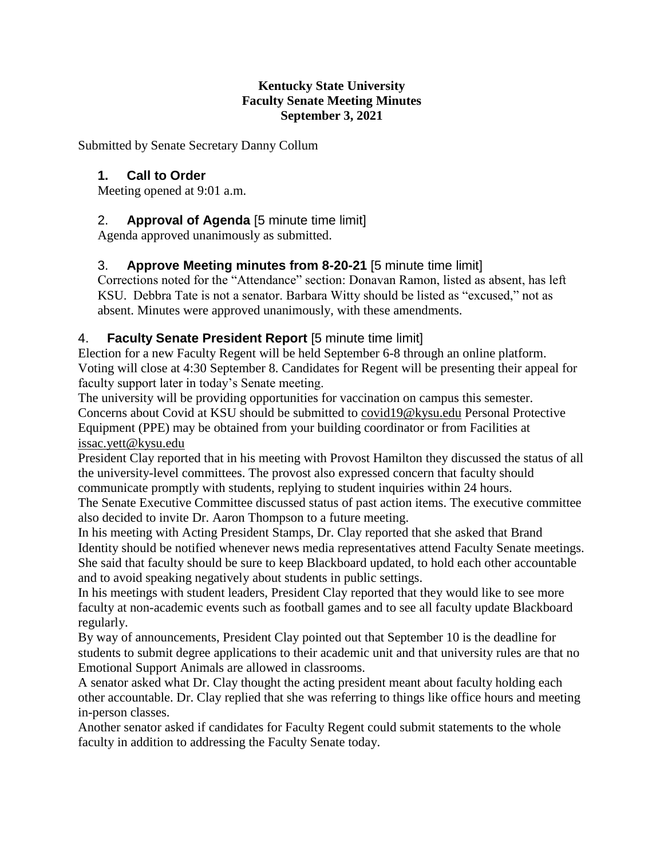#### **Kentucky State University Faculty Senate Meeting Minutes September 3, 2021**

Submitted by Senate Secretary Danny Collum

## **1. Call to Order**

Meeting opened at 9:01 a.m.

## 2. **Approval of Agenda** [5 minute time limit]

Agenda approved unanimously as submitted.

## 3. **Approve Meeting minutes from 8-20-21** [5 minute time limit]

Corrections noted for the "Attendance" section: Donavan Ramon, listed as absent, has left KSU. Debbra Tate is not a senator. Barbara Witty should be listed as "excused," not as absent. Minutes were approved unanimously, with these amendments.

## 4. **Faculty Senate President Report** [5 minute time limit]

Election for a new Faculty Regent will be held September 6-8 through an online platform. Voting will close at 4:30 September 8. Candidates for Regent will be presenting their appeal for faculty support later in today's Senate meeting.

The university will be providing opportunities for vaccination on campus this semester. Concerns about Covid at KSU should be submitted to [covid19@kysu.edu](mailto:covid19@kysu.edu) Personal Protective Equipment (PPE) may be obtained from your building coordinator or from Facilities at [issac.yett@kysu.edu](mailto:issac.yett@kysu.edu)

President Clay reported that in his meeting with Provost Hamilton they discussed the status of all the university-level committees. The provost also expressed concern that faculty should communicate promptly with students, replying to student inquiries within 24 hours.

The Senate Executive Committee discussed status of past action items. The executive committee also decided to invite Dr. Aaron Thompson to a future meeting.

In his meeting with Acting President Stamps, Dr. Clay reported that she asked that Brand Identity should be notified whenever news media representatives attend Faculty Senate meetings. She said that faculty should be sure to keep Blackboard updated, to hold each other accountable and to avoid speaking negatively about students in public settings.

In his meetings with student leaders, President Clay reported that they would like to see more faculty at non-academic events such as football games and to see all faculty update Blackboard regularly.

By way of announcements, President Clay pointed out that September 10 is the deadline for students to submit degree applications to their academic unit and that university rules are that no Emotional Support Animals are allowed in classrooms.

A senator asked what Dr. Clay thought the acting president meant about faculty holding each other accountable. Dr. Clay replied that she was referring to things like office hours and meeting in-person classes.

Another senator asked if candidates for Faculty Regent could submit statements to the whole faculty in addition to addressing the Faculty Senate today.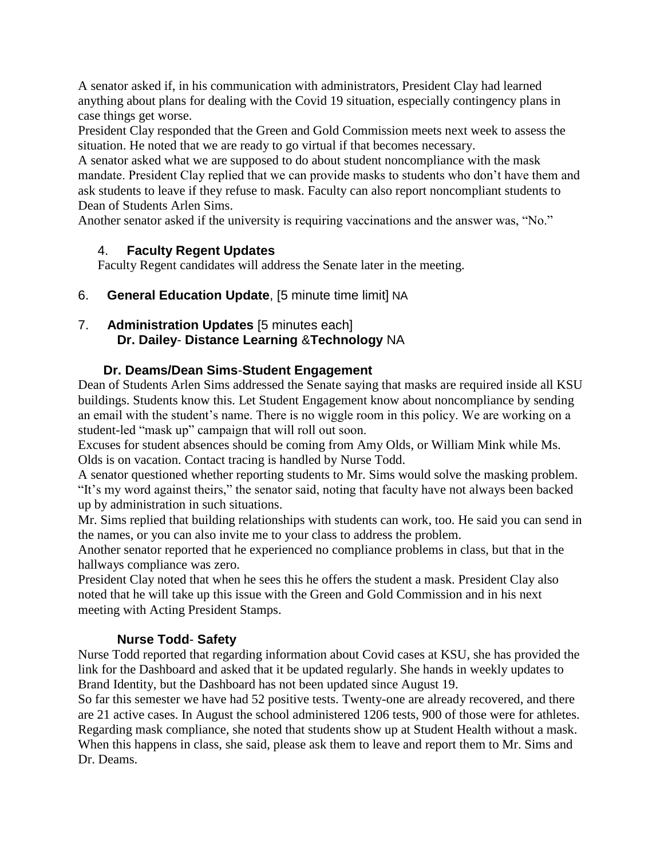A senator asked if, in his communication with administrators, President Clay had learned anything about plans for dealing with the Covid 19 situation, especially contingency plans in case things get worse.

President Clay responded that the Green and Gold Commission meets next week to assess the situation. He noted that we are ready to go virtual if that becomes necessary.

A senator asked what we are supposed to do about student noncompliance with the mask mandate. President Clay replied that we can provide masks to students who don't have them and ask students to leave if they refuse to mask. Faculty can also report noncompliant students to Dean of Students Arlen Sims.

Another senator asked if the university is requiring vaccinations and the answer was, "No."

## 4. **Faculty Regent Updates**

Faculty Regent candidates will address the Senate later in the meeting.

6. **General Education Update**, [5 minute time limit] NA

## 7. **Administration Updates** [5 minutes each] **Dr. Dailey**- **Distance Learning** &**Technology** NA

#### **Dr. Deams/Dean Sims**-**Student Engagement**

Dean of Students Arlen Sims addressed the Senate saying that masks are required inside all KSU buildings. Students know this. Let Student Engagement know about noncompliance by sending an email with the student's name. There is no wiggle room in this policy. We are working on a student-led "mask up" campaign that will roll out soon.

Excuses for student absences should be coming from Amy Olds, or William Mink while Ms. Olds is on vacation. Contact tracing is handled by Nurse Todd.

A senator questioned whether reporting students to Mr. Sims would solve the masking problem. "It's my word against theirs," the senator said, noting that faculty have not always been backed up by administration in such situations.

Mr. Sims replied that building relationships with students can work, too. He said you can send in the names, or you can also invite me to your class to address the problem.

Another senator reported that he experienced no compliance problems in class, but that in the hallways compliance was zero.

President Clay noted that when he sees this he offers the student a mask. President Clay also noted that he will take up this issue with the Green and Gold Commission and in his next meeting with Acting President Stamps.

## **Nurse Todd**- **Safety**

Nurse Todd reported that regarding information about Covid cases at KSU, she has provided the link for the Dashboard and asked that it be updated regularly. She hands in weekly updates to Brand Identity, but the Dashboard has not been updated since August 19.

So far this semester we have had 52 positive tests. Twenty-one are already recovered, and there are 21 active cases. In August the school administered 1206 tests, 900 of those were for athletes. Regarding mask compliance, she noted that students show up at Student Health without a mask. When this happens in class, she said, please ask them to leave and report them to Mr. Sims and Dr. Deams.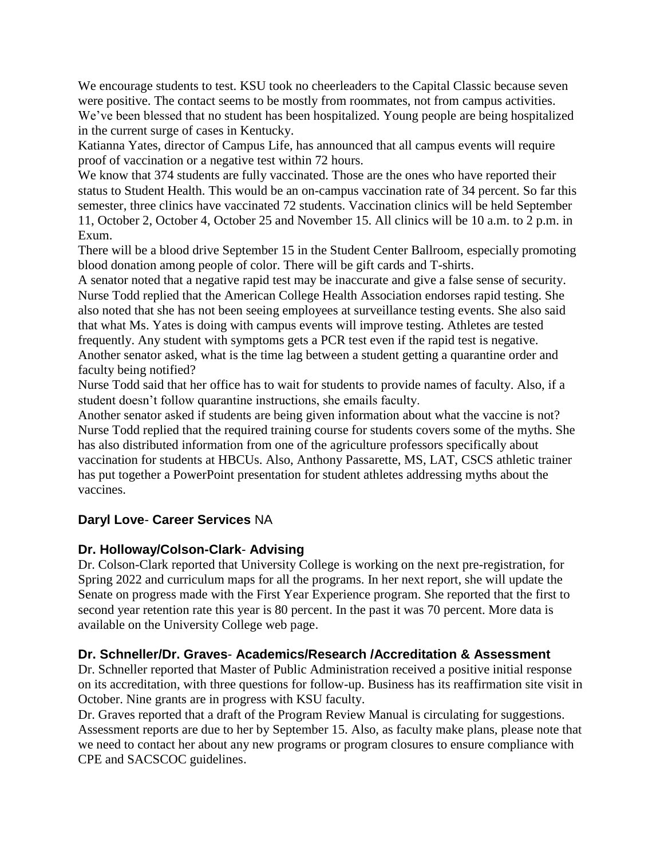We encourage students to test. KSU took no cheerleaders to the Capital Classic because seven were positive. The contact seems to be mostly from roommates, not from campus activities. We've been blessed that no student has been hospitalized. Young people are being hospitalized in the current surge of cases in Kentucky.

Katianna Yates, director of Campus Life, has announced that all campus events will require proof of vaccination or a negative test within 72 hours.

We know that 374 students are fully vaccinated. Those are the ones who have reported their status to Student Health. This would be an on-campus vaccination rate of 34 percent. So far this semester, three clinics have vaccinated 72 students. Vaccination clinics will be held September 11, October 2, October 4, October 25 and November 15. All clinics will be 10 a.m. to 2 p.m. in Exum.

There will be a blood drive September 15 in the Student Center Ballroom, especially promoting blood donation among people of color. There will be gift cards and T-shirts.

A senator noted that a negative rapid test may be inaccurate and give a false sense of security. Nurse Todd replied that the American College Health Association endorses rapid testing. She also noted that she has not been seeing employees at surveillance testing events. She also said that what Ms. Yates is doing with campus events will improve testing. Athletes are tested frequently. Any student with symptoms gets a PCR test even if the rapid test is negative. Another senator asked, what is the time lag between a student getting a quarantine order and faculty being notified?

Nurse Todd said that her office has to wait for students to provide names of faculty. Also, if a student doesn't follow quarantine instructions, she emails faculty.

Another senator asked if students are being given information about what the vaccine is not? Nurse Todd replied that the required training course for students covers some of the myths. She has also distributed information from one of the agriculture professors specifically about vaccination for students at HBCUs. Also, Anthony Passarette, MS, LAT, CSCS athletic trainer has put together a PowerPoint presentation for student athletes addressing myths about the vaccines.

## **Daryl Love**- **Career Services** NA

#### **Dr. Holloway/Colson-Clark**- **Advising**

Dr. Colson-Clark reported that University College is working on the next pre-registration, for Spring 2022 and curriculum maps for all the programs. In her next report, she will update the Senate on progress made with the First Year Experience program. She reported that the first to second year retention rate this year is 80 percent. In the past it was 70 percent. More data is available on the University College web page.

#### **Dr. Schneller/Dr. Graves**- **Academics/Research /Accreditation & Assessment**

Dr. Schneller reported that Master of Public Administration received a positive initial response on its accreditation, with three questions for follow-up. Business has its reaffirmation site visit in October. Nine grants are in progress with KSU faculty.

Dr. Graves reported that a draft of the Program Review Manual is circulating for suggestions. Assessment reports are due to her by September 15. Also, as faculty make plans, please note that we need to contact her about any new programs or program closures to ensure compliance with CPE and SACSCOC guidelines.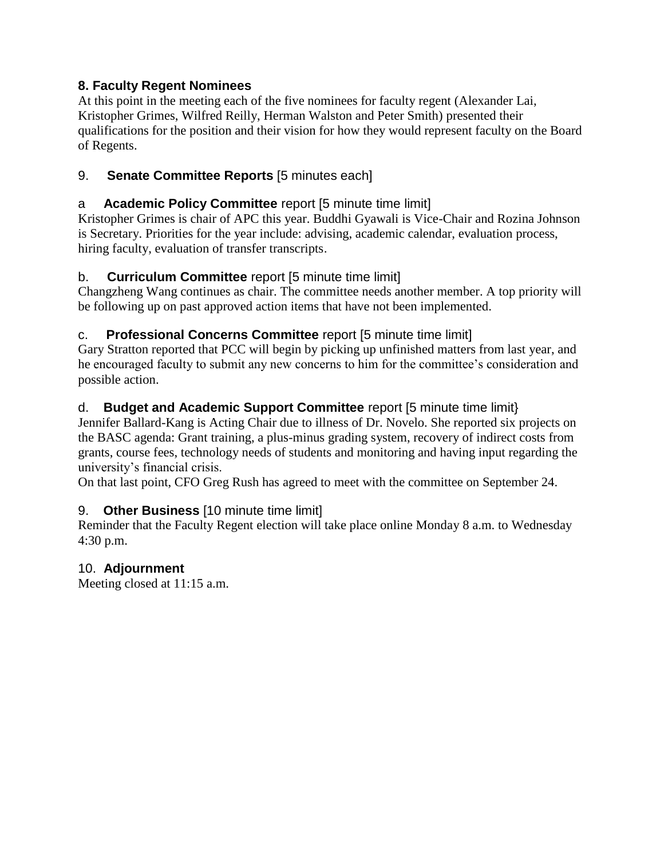## **8. Faculty Regent Nominees**

At this point in the meeting each of the five nominees for faculty regent (Alexander Lai, Kristopher Grimes, Wilfred Reilly, Herman Walston and Peter Smith) presented their qualifications for the position and their vision for how they would represent faculty on the Board of Regents.

# 9. **Senate Committee Reports** [5 minutes each]

# a **Academic Policy Committee** report [5 minute time limit]

Kristopher Grimes is chair of APC this year. Buddhi Gyawali is Vice-Chair and Rozina Johnson is Secretary. Priorities for the year include: advising, academic calendar, evaluation process, hiring faculty, evaluation of transfer transcripts.

# b. **Curriculum Committee** report [5 minute time limit]

Changzheng Wang continues as chair. The committee needs another member. A top priority will be following up on past approved action items that have not been implemented.

# c. **Professional Concerns Committee** report [5 minute time limit]

Gary Stratton reported that PCC will begin by picking up unfinished matters from last year, and he encouraged faculty to submit any new concerns to him for the committee's consideration and possible action.

# d. **Budget and Academic Support Committee** report [5 minute time limit}

Jennifer Ballard-Kang is Acting Chair due to illness of Dr. Novelo. She reported six projects on the BASC agenda: Grant training, a plus-minus grading system, recovery of indirect costs from grants, course fees, technology needs of students and monitoring and having input regarding the university's financial crisis.

On that last point, CFO Greg Rush has agreed to meet with the committee on September 24.

# 9. **Other Business** [10 minute time limit]

Reminder that the Faculty Regent election will take place online Monday 8 a.m. to Wednesday 4:30 p.m.

# 10. **Adjournment**

Meeting closed at 11:15 a.m.